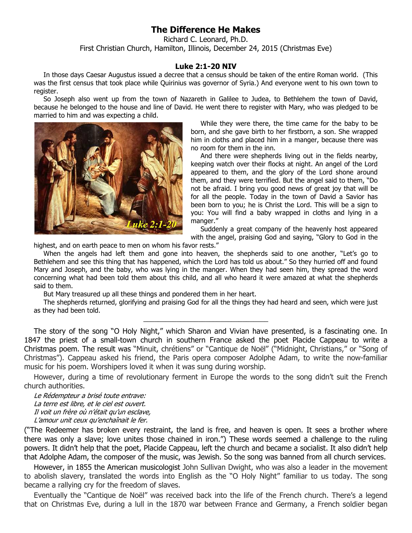## **The Difference He Makes**

Richard C. Leonard, Ph.D. First Christian Church, Hamilton, Illinois, December 24, 2015 (Christmas Eve)

## **Luke 2:1-20 NIV**

In those days Caesar Augustus issued a decree that a census should be taken of the entire Roman world. (This was the first census that took place while Quirinius was governor of Syria.) And everyone went to his own town to register.

So Joseph also went up from the town of Nazareth in Galilee to Judea, to Bethlehem the town of David, because he belonged to the house and line of David. He went there to register with Mary, who was pledged to be married to him and was expecting a child.



While they were there, the time came for the baby to be born, and she gave birth to her firstborn, a son. She wrapped him in cloths and placed him in a manger, because there was no room for them in the inn.

And there were shepherds living out in the fields nearby, keeping watch over their flocks at night. An angel of the Lord appeared to them, and the glory of the Lord shone around them, and they were terrified. But the angel said to them, "Do not be afraid. I bring you good news of great joy that will be for all the people. Today in the town of David a Savior has been born to you; he is Christ the Lord. This will be a sign to you: You will find a baby wrapped in cloths and lying in a manger."

Suddenly a great company of the heavenly host appeared with the angel, praising God and saying, "Glory to God in the

highest, and on earth peace to men on whom his favor rests."

When the angels had left them and gone into heaven, the shepherds said to one another, "Let's go to Bethlehem and see this thing that has happened, which the Lord has told us about." So they hurried off and found Mary and Joseph, and the baby, who was lying in the manger. When they had seen him, they spread the word concerning what had been told them about this child, and all who heard it were amazed at what the shepherds said to them.

But Mary treasured up all these things and pondered them in her heart.

The shepherds returned, glorifying and praising God for all the things they had heard and seen, which were just as they had been told. \_\_\_\_\_\_\_\_\_\_\_\_\_\_\_\_\_\_\_\_\_\_\_\_\_\_\_\_\_\_\_\_\_\_

The story of the song "O Holy Night," which Sharon and Vivian have presented, is a fascinating one. In 1847 the priest of a small-town church in southern France asked the poet Placide Cappeau to write a Christmas poem. The result was "Minuit, chrétiens" or "Cantique de Noël" ("Midnight, Christians," or "Song of Christmas"). Cappeau asked his friend, the Paris opera composer Adolphe Adam, to write the now-familiar music for his poem. Worshipers loved it when it was sung during worship.

However, during a time of revolutionary ferment in Europe the words to the song didn't suit the French church authorities.

Le Rédempteur a brisé toute entrave: La terre est libre, et le ciel est ouvert. Il voit un frère où n'était qu'un esclave, L'amour unit ceux qu'enchaînait le fer.

("The Redeemer has broken every restraint, the land is free, and heaven is open. It sees a brother where there was only a slave; love unites those chained in iron.") These words seemed a challenge to the ruling powers. It didn't help that the poet, Placide Cappeau, left the church and became a socialist. It also didn't help that Adolphe Adam, the composer of the music, was Jewish. So the song was banned from all church services.

However, in 1855 the American musicologist John Sullivan Dwight, who was also a leader in the movement to abolish slavery, translated the words into English as the "O Holy Night" familiar to us today. The song became a rallying cry for the freedom of slaves.

Eventually the "Cantique de Noël" was received back into the life of the French church. There's a legend that on Christmas Eve, during a lull in the 1870 war between France and Germany, a French soldier began